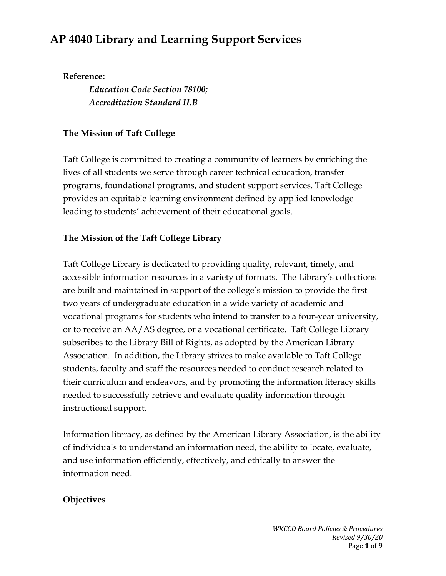# **AP 4040 Library and Learning Support Services**

#### **Reference:**

*Education Code Section 78100; Accreditation Standard II.B*

## **The Mission of Taft College**

Taft College is committed to creating a community of learners by enriching the lives of all students we serve through career technical education, transfer programs, foundational programs, and student support services. Taft College provides an equitable learning environment defined by applied knowledge leading to students' achievement of their educational goals.

# **The Mission of the Taft College Library**

Taft College Library is dedicated to providing quality, relevant, timely, and accessible information resources in a variety of formats. The Library's collections are built and maintained in support of the college's mission to provide the first two years of undergraduate education in a wide variety of academic and vocational programs for students who intend to transfer to a four-year university, or to receive an AA/AS degree, or a vocational certificate. Taft College Library subscribes to the Library Bill of Rights, as adopted by the American Library Association. In addition, the Library strives to make available to Taft College students, faculty and staff the resources needed to conduct research related to their curriculum and endeavors, and by promoting the information literacy skills needed to successfully retrieve and evaluate quality information through instructional support.

Information literacy, as defined by the American Library Association, is the ability of individuals to understand an information need, the ability to locate, evaluate, and use information efficiently, effectively, and ethically to answer the information need.

## **Objectives**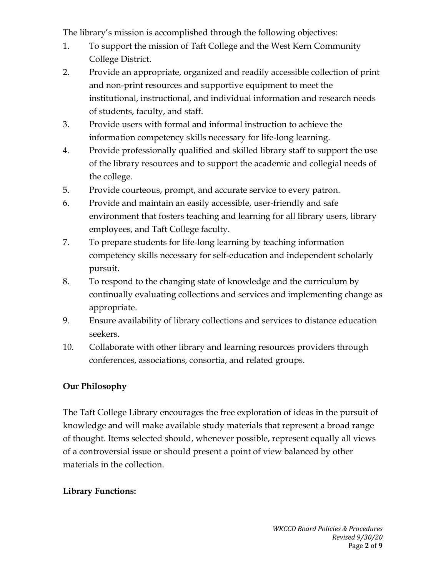The library's mission is accomplished through the following objectives:

- 1. To support the mission of Taft College and the West Kern Community College District.
- 2. Provide an appropriate, organized and readily accessible collection of print and non-print resources and supportive equipment to meet the institutional, instructional, and individual information and research needs of students, faculty, and staff.
- 3. Provide users with formal and informal instruction to achieve the information competency skills necessary for life-long learning.
- 4. Provide professionally qualified and skilled library staff to support the use of the library resources and to support the academic and collegial needs of the college.
- 5. Provide courteous, prompt, and accurate service to every patron.
- 6. Provide and maintain an easily accessible, user-friendly and safe environment that fosters teaching and learning for all library users, library employees, and Taft College faculty.
- 7. To prepare students for life-long learning by teaching information competency skills necessary for self-education and independent scholarly pursuit.
- 8. To respond to the changing state of knowledge and the curriculum by continually evaluating collections and services and implementing change as appropriate.
- 9. Ensure availability of library collections and services to distance education seekers.
- 10. Collaborate with other library and learning resources providers through conferences, associations, consortia, and related groups.

## **Our Philosophy**

The Taft College Library encourages the free exploration of ideas in the pursuit of knowledge and will make available study materials that represent a broad range of thought. Items selected should, whenever possible, represent equally all views of a controversial issue or should present a point of view balanced by other materials in the collection.

## **Library Functions:**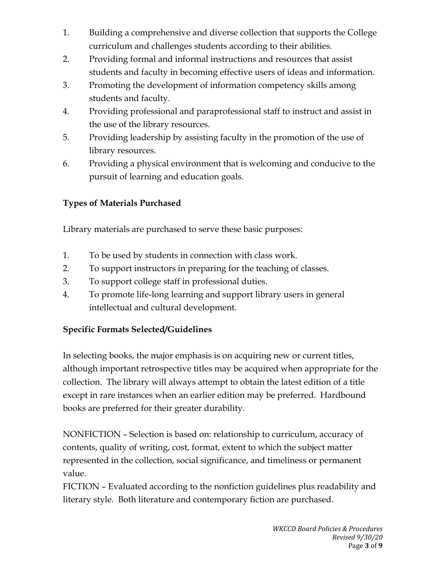- 1. Building a comprehensive and diverse collection that supports the College curriculum and challenges students according to their abilities.
- 2. Providing formal and informal instructions and resources that assist students and faculty in becoming effective users of ideas and information.
- 3. Promoting the development of information competency skills among students and faculty.
- 4. Providing professional and paraprofessional staff to instruct and assist in the use of the library resources.
- 5. Providing leadership by assisting faculty in the promotion of the use of library resources.
- 6. Providing a physical environment that is welcoming and conducive to the pursuit of learning and education goals.

# **Types of Materials Purchased**

Library materials are purchased to serve these basic purposes:

- 1. To be used by students in connection with class work.
- 2. To support instructors in preparing for the teaching of classes.
- 3. To support college staff in professional duties.
- 4. To promote life-long learning and support library users in general intellectual and cultural development.

# **Specific Formats Selected/Guidelines**

In selecting books, the major emphasis is on acquiring new or current titles, although important retrospective titles may be acquired when appropriate for the collection. The library will always attempt to obtain the latest edition of a title except in rare instances when an earlier edition may be preferred. Hardbound books are preferred for their greater durability.

NONFICTION – Selection is based on: relationship to curriculum, accuracy of contents, quality of writing, cost, format, extent to which the subject matter represented in the collection, social significance, and timeliness or permanent value.

FICTION – Evaluated according to the nonfiction guidelines plus readability and literary style. Both literature and contemporary fiction are purchased.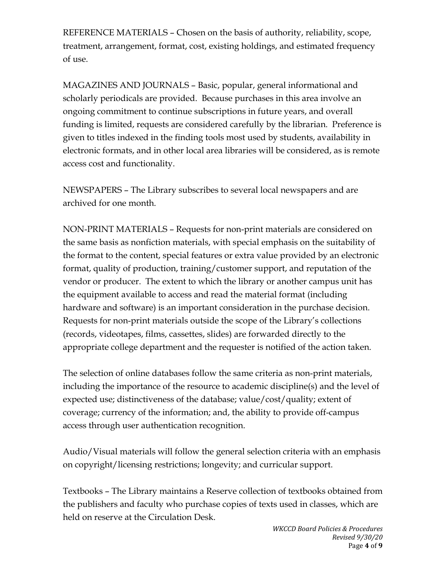REFERENCE MATERIALS – Chosen on the basis of authority, reliability, scope, treatment, arrangement, format, cost, existing holdings, and estimated frequency of use.

MAGAZINES AND JOURNALS – Basic, popular, general informational and scholarly periodicals are provided. Because purchases in this area involve an ongoing commitment to continue subscriptions in future years, and overall funding is limited, requests are considered carefully by the librarian. Preference is given to titles indexed in the finding tools most used by students, availability in electronic formats, and in other local area libraries will be considered, as is remote access cost and functionality.

NEWSPAPERS – The Library subscribes to several local newspapers and are archived for one month.

NON-PRINT MATERIALS – Requests for non-print materials are considered on the same basis as nonfiction materials, with special emphasis on the suitability of the format to the content, special features or extra value provided by an electronic format, quality of production, training/customer support, and reputation of the vendor or producer. The extent to which the library or another campus unit has the equipment available to access and read the material format (including hardware and software) is an important consideration in the purchase decision. Requests for non-print materials outside the scope of the Library's collections (records, videotapes, films, cassettes, slides) are forwarded directly to the appropriate college department and the requester is notified of the action taken.

The selection of online databases follow the same criteria as non-print materials, including the importance of the resource to academic discipline(s) and the level of expected use; distinctiveness of the database; value/cost/quality; extent of coverage; currency of the information; and, the ability to provide off-campus access through user authentication recognition.

Audio/Visual materials will follow the general selection criteria with an emphasis on copyright/licensing restrictions; longevity; and curricular support.

Textbooks – The Library maintains a Reserve collection of textbooks obtained from the publishers and faculty who purchase copies of texts used in classes, which are held on reserve at the Circulation Desk.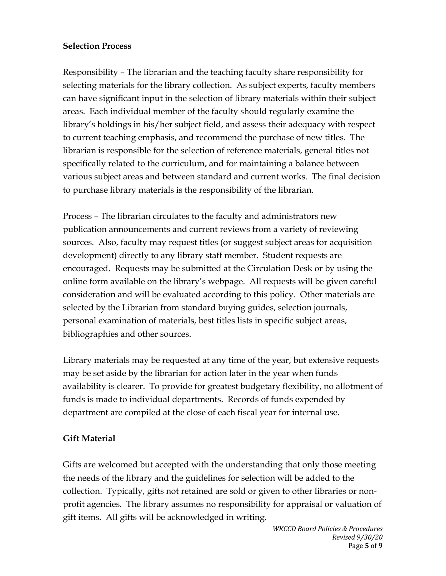#### **Selection Process**

Responsibility – The librarian and the teaching faculty share responsibility for selecting materials for the library collection. As subject experts, faculty members can have significant input in the selection of library materials within their subject areas. Each individual member of the faculty should regularly examine the library's holdings in his/her subject field, and assess their adequacy with respect to current teaching emphasis, and recommend the purchase of new titles. The librarian is responsible for the selection of reference materials, general titles not specifically related to the curriculum, and for maintaining a balance between various subject areas and between standard and current works. The final decision to purchase library materials is the responsibility of the librarian.

Process – The librarian circulates to the faculty and administrators new publication announcements and current reviews from a variety of reviewing sources. Also, faculty may request titles (or suggest subject areas for acquisition development) directly to any library staff member. Student requests are encouraged. Requests may be submitted at the Circulation Desk or by using the online form available on the library's webpage. All requests will be given careful consideration and will be evaluated according to this policy. Other materials are selected by the Librarian from standard buying guides, selection journals, personal examination of materials, best titles lists in specific subject areas, bibliographies and other sources.

Library materials may be requested at any time of the year, but extensive requests may be set aside by the librarian for action later in the year when funds availability is clearer. To provide for greatest budgetary flexibility, no allotment of funds is made to individual departments. Records of funds expended by department are compiled at the close of each fiscal year for internal use.

#### **Gift Material**

Gifts are welcomed but accepted with the understanding that only those meeting the needs of the library and the guidelines for selection will be added to the collection. Typically, gifts not retained are sold or given to other libraries or nonprofit agencies. The library assumes no responsibility for appraisal or valuation of gift items. All gifts will be acknowledged in writing.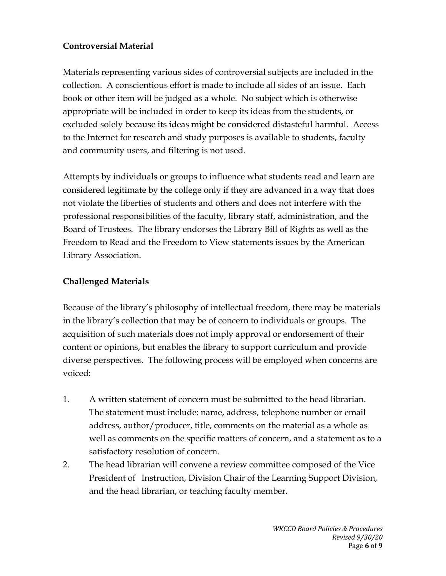#### **Controversial Material**

Materials representing various sides of controversial subjects are included in the collection. A conscientious effort is made to include all sides of an issue. Each book or other item will be judged as a whole. No subject which is otherwise appropriate will be included in order to keep its ideas from the students, or excluded solely because its ideas might be considered distasteful harmful. Access to the Internet for research and study purposes is available to students, faculty and community users, and filtering is not used.

Attempts by individuals or groups to influence what students read and learn are considered legitimate by the college only if they are advanced in a way that does not violate the liberties of students and others and does not interfere with the professional responsibilities of the faculty, library staff, administration, and the Board of Trustees. The library endorses the Library Bill of Rights as well as the Freedom to Read and the Freedom to View statements issues by the American Library Association.

#### **Challenged Materials**

Because of the library's philosophy of intellectual freedom, there may be materials in the library's collection that may be of concern to individuals or groups. The acquisition of such materials does not imply approval or endorsement of their content or opinions, but enables the library to support curriculum and provide diverse perspectives. The following process will be employed when concerns are voiced:

- 1. A written statement of concern must be submitted to the head librarian. The statement must include: name, address, telephone number or email address, author/producer, title, comments on the material as a whole as well as comments on the specific matters of concern, and a statement as to a satisfactory resolution of concern.
- 2. The head librarian will convene a review committee composed of the Vice President of Instruction, Division Chair of the Learning Support Division, and the head librarian, or teaching faculty member.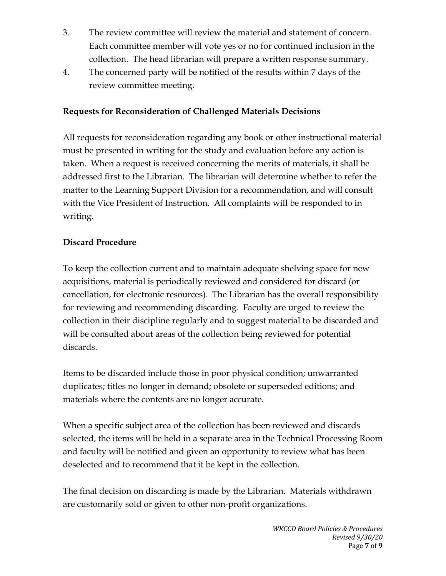- 3. The review committee will review the material and statement of concern. Each committee member will vote yes or no for continued inclusion in the collection. The head librarian will prepare a written response summary.
- 4. The concerned party will be notified of the results within 7 days of the review committee meeting.

#### **Requests for Reconsideration of Challenged Materials Decisions**

All requests for reconsideration regarding any book or other instructional material must be presented in writing for the study and evaluation before any action is taken. When a request is received concerning the merits of materials, it shall be addressed first to the Librarian. The librarian will determine whether to refer the matter to the Learning Support Division for a recommendation, and will consult with the Vice President of Instruction. All complaints will be responded to in writing.

#### **Discard Procedure**

To keep the collection current and to maintain adequate shelving space for new acquisitions, material is periodically reviewed and considered for discard (or cancellation, for electronic resources). The Librarian has the overall responsibility for reviewing and recommending discarding. Faculty are urged to review the collection in their discipline regularly and to suggest material to be discarded and will be consulted about areas of the collection being reviewed for potential discards.

Items to be discarded include those in poor physical condition; unwarranted duplicates; titles no longer in demand; obsolete or superseded editions; and materials where the contents are no longer accurate.

When a specific subject area of the collection has been reviewed and discards selected, the items will be held in a separate area in the Technical Processing Room and faculty will be notified and given an opportunity to review what has been deselected and to recommend that it be kept in the collection.

The final decision on discarding is made by the Librarian. Materials withdrawn are customarily sold or given to other non-profit organizations.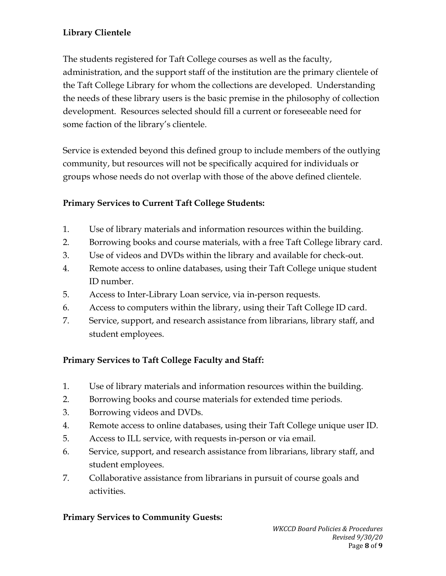# **Library Clientele**

The students registered for Taft College courses as well as the faculty, administration, and the support staff of the institution are the primary clientele of the Taft College Library for whom the collections are developed. Understanding the needs of these library users is the basic premise in the philosophy of collection development. Resources selected should fill a current or foreseeable need for some faction of the library's clientele.

Service is extended beyond this defined group to include members of the outlying community, but resources will not be specifically acquired for individuals or groups whose needs do not overlap with those of the above defined clientele.

# **Primary Services to Current Taft College Students:**

- 1. Use of library materials and information resources within the building.
- 2. Borrowing books and course materials, with a free Taft College library card.
- 3. Use of videos and DVDs within the library and available for check-out.
- 4. Remote access to online databases, using their Taft College unique student ID number.
- 5. Access to Inter-Library Loan service, via in-person requests.
- 6. Access to computers within the library, using their Taft College ID card.
- 7. Service, support, and research assistance from librarians, library staff, and student employees.

# **Primary Services to Taft College Faculty and Staff:**

- 1. Use of library materials and information resources within the building.
- 2. Borrowing books and course materials for extended time periods.
- 3. Borrowing videos and DVDs.
- 4. Remote access to online databases, using their Taft College unique user ID.
- 5. Access to ILL service, with requests in-person or via email.
- 6. Service, support, and research assistance from librarians, library staff, and student employees.
- 7. Collaborative assistance from librarians in pursuit of course goals and activities.

## **Primary Services to Community Guests:**